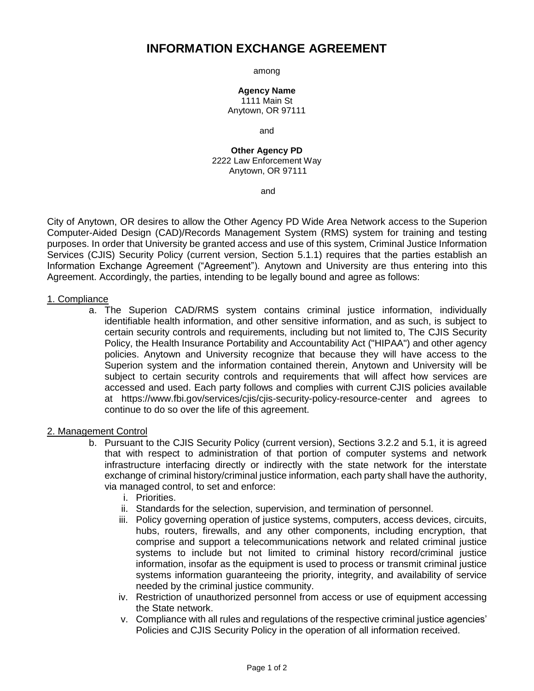# **INFORMATION EXCHANGE AGREEMENT**

among

**Agency Name** 1111 Main St Anytown, OR 97111

and

**Other Agency PD** 2222 Law Enforcement Way Anytown, OR 97111

and

City of Anytown, OR desires to allow the Other Agency PD Wide Area Network access to the Superion Computer-Aided Design (CAD)/Records Management System (RMS) system for training and testing purposes. In order that University be granted access and use of this system, Criminal Justice Information Services (CJIS) Security Policy (current version, Section 5.1.1) requires that the parties establish an Information Exchange Agreement ("Agreement"). Anytown and University are thus entering into this Agreement. Accordingly, the parties, intending to be legally bound and agree as follows:

#### 1. Compliance

a. The Superion CAD/RMS system contains criminal justice information, individually identifiable health information, and other sensitive information, and as such, is subject to certain security controls and requirements, including but not limited to, The CJIS Security Policy, the Health Insurance Portability and Accountability Act ("HIPAA") and other agency policies. Anytown and University recognize that because they will have access to the Superion system and the information contained therein, Anytown and University will be subject to certain security controls and requirements that will affect how services are accessed and used. Each party follows and complies with current CJIS policies available at https://www.fbi.gov/services/cjis/cjis-security-policy-resource-center and agrees to continue to do so over the life of this agreement.

## 2. Management Control

- b. Pursuant to the CJIS Security Policy (current version), Sections 3.2.2 and 5.1, it is agreed that with respect to administration of that portion of computer systems and network infrastructure interfacing directly or indirectly with the state network for the interstate exchange of criminal history/criminal justice information, each party shall have the authority, via managed control, to set and enforce:
	- i. Priorities.
	- ii. Standards for the selection, supervision, and termination of personnel.
	- iii. Policy governing operation of justice systems, computers, access devices, circuits, hubs, routers, firewalls, and any other components, including encryption, that comprise and support a telecommunications network and related criminal justice systems to include but not limited to criminal history record/criminal justice information, insofar as the equipment is used to process or transmit criminal justice systems information guaranteeing the priority, integrity, and availability of service needed by the criminal justice community.
	- iv. Restriction of unauthorized personnel from access or use of equipment accessing the State network.
	- v. Compliance with all rules and regulations of the respective criminal justice agencies' Policies and CJIS Security Policy in the operation of all information received.